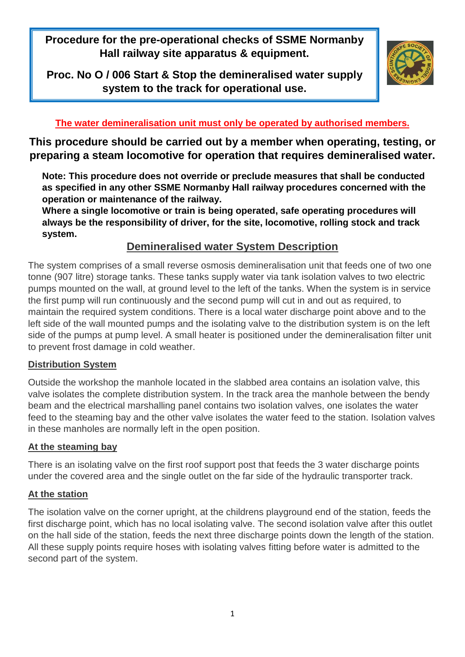**Procedure for the pre-operational checks of SSME Normanby Hall railway site apparatus & equipment.**

**Proc. No O / 006 Start & Stop the demineralised water supply system to the track for operational use.**



### **The water demineralisation unit must only be operated by authorised members.**

**This procedure should be carried out by a member when operating, testing, or preparing a steam locomotive for operation that requires demineralised water.**

**Note: This procedure does not override or preclude measures that shall be conducted as specified in any other SSME Normanby Hall railway procedures concerned with the operation or maintenance of the railway.**

**Where a single locomotive or train is being operated, safe operating procedures will always be the responsibility of driver, for the site, locomotive, rolling stock and track system.**

## **Demineralised water System Description**

The system comprises of a small reverse osmosis demineralisation unit that feeds one of two one tonne (907 litre) storage tanks. These tanks supply water via tank isolation valves to two electric pumps mounted on the wall, at ground level to the left of the tanks. When the system is in service the first pump will run continuously and the second pump will cut in and out as required, to maintain the required system conditions. There is a local water discharge point above and to the left side of the wall mounted pumps and the isolating valve to the distribution system is on the left side of the pumps at pump level. A small heater is positioned under the demineralisation filter unit to prevent frost damage in cold weather.

### **Distribution System**

Outside the workshop the manhole located in the slabbed area contains an isolation valve, this valve isolates the complete distribution system. In the track area the manhole between the bendy beam and the electrical marshalling panel contains two isolation valves, one isolates the water feed to the steaming bay and the other valve isolates the water feed to the station. Isolation valves in these manholes are normally left in the open position.

### **At the steaming bay**

There is an isolating valve on the first roof support post that feeds the 3 water discharge points under the covered area and the single outlet on the far side of the hydraulic transporter track.

### **At the station**

The isolation valve on the corner upright, at the childrens playground end of the station, feeds the first discharge point, which has no local isolating valve. The second isolation valve after this outlet on the hall side of the station, feeds the next three discharge points down the length of the station. All these supply points require hoses with isolating valves fitting before water is admitted to the second part of the system.